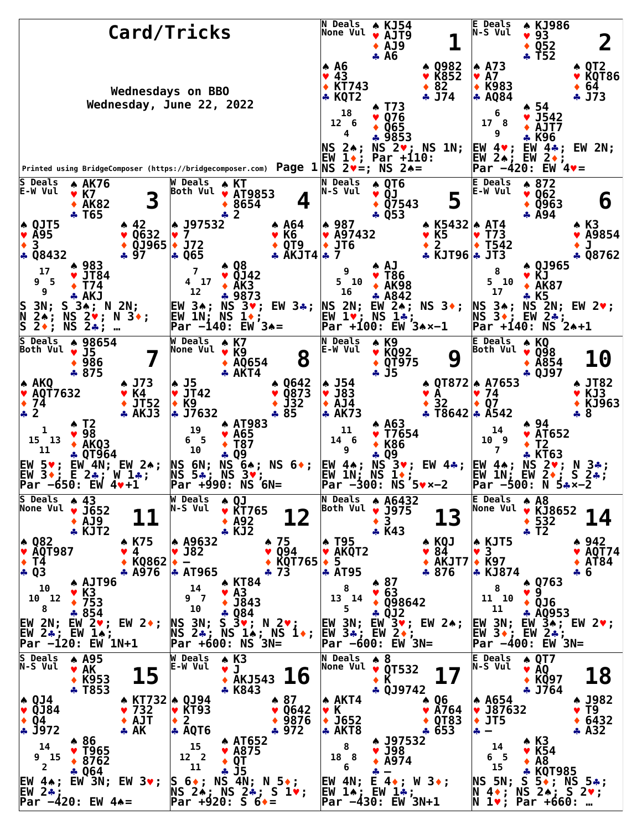